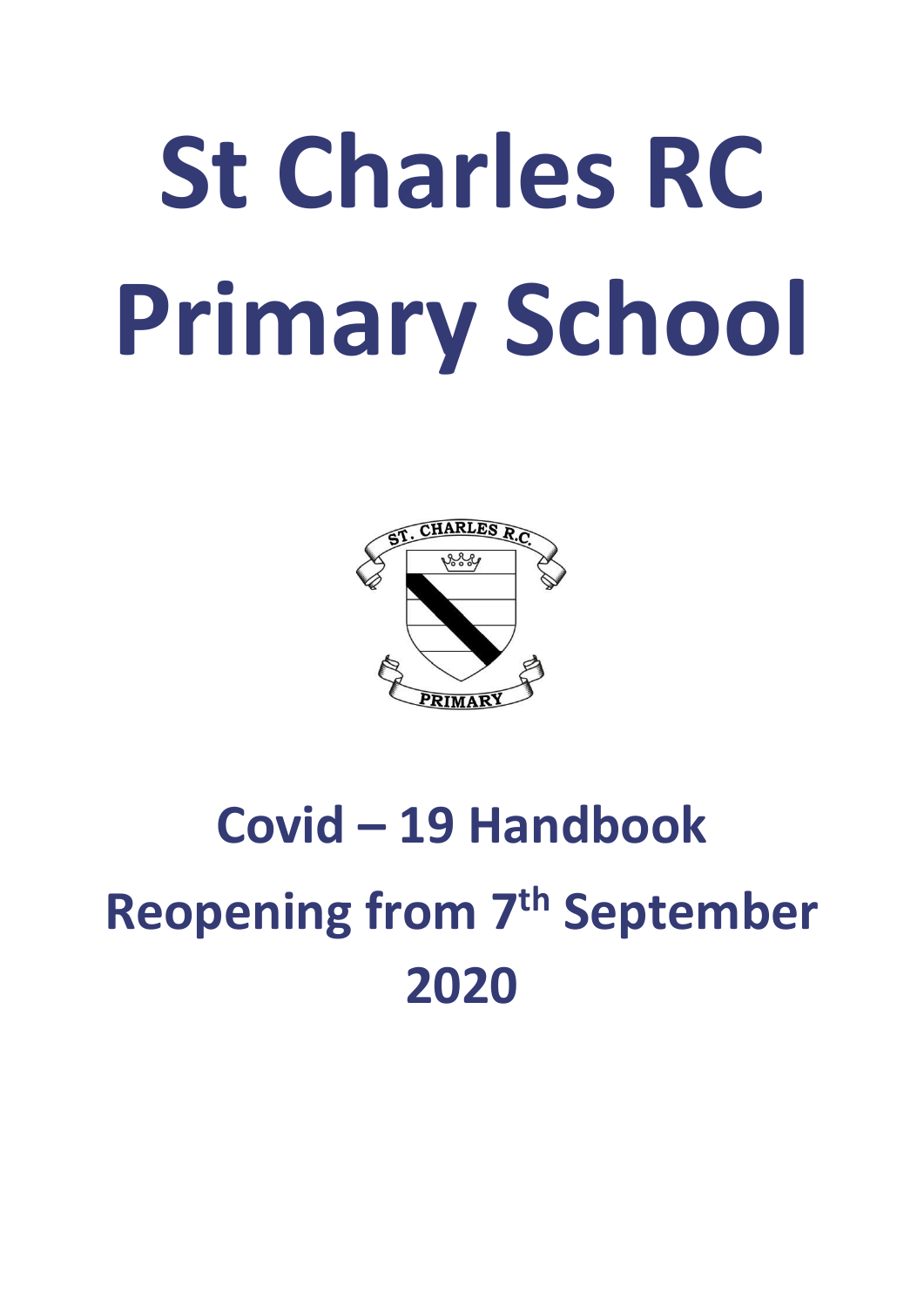# **St Charles RC Primary School**



# **Covid – 19 Handbook Reopening from 7 th September 2020**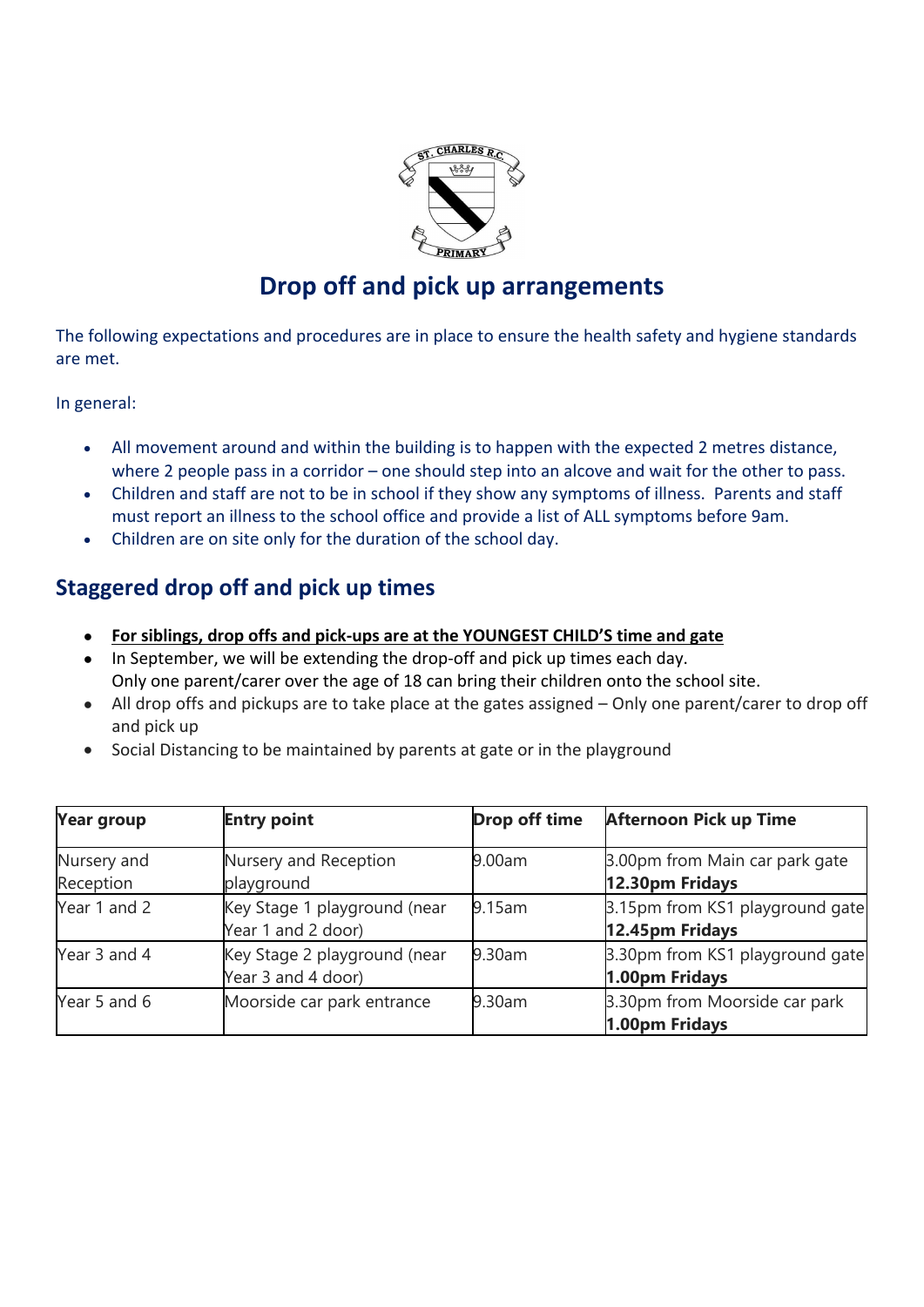

# **Drop off and pick up arrangements**

The following expectations and procedures are in place to ensure the health safety and hygiene standards are met.

In general:

- All movement around and within the building is to happen with the expected 2 metres distance, where 2 people pass in a corridor – one should step into an alcove and wait for the other to pass.
- Children and staff are not to be in school if they show any symptoms of illness. Parents and staff must report an illness to the school office and provide a list of ALL symptoms before 9am.
- Children are on site only for the duration of the school day.

## **Staggered drop off and pick up times**

- **For siblings, drop offs and pick-ups are at the YOUNGEST CHILD'S time and gate**
- In September, we will be extending the drop-off and pick up times each day. Only one parent/carer over the age of 18 can bring their children onto the school site.
- All drop offs and pickups are to take place at the gates assigned Only one parent/carer to drop off and pick up
- Social Distancing to be maintained by parents at gate or in the playground

| <b>Year group</b>        | <b>Entry point</b>                                 | <b>Drop off time</b> | <b>Afternoon Pick up Time</b>                      |
|--------------------------|----------------------------------------------------|----------------------|----------------------------------------------------|
| Nursery and<br>Reception | Nursery and Reception<br>playground                | 9.00am               | 3.00pm from Main car park gate<br>12.30pm Fridays  |
| Year 1 and 2             | Key Stage 1 playground (near<br>Year 1 and 2 door) | 9.15am               | 3.15pm from KS1 playground gate<br>12.45pm Fridays |
| Year 3 and 4             | Key Stage 2 playground (near<br>Year 3 and 4 door) | 9.30am               | 3.30pm from KS1 playground gate<br>1.00pm Fridays  |
| Year 5 and 6             | Moorside car park entrance                         | 9.30am               | 3.30pm from Moorside car park<br>1.00pm Fridays    |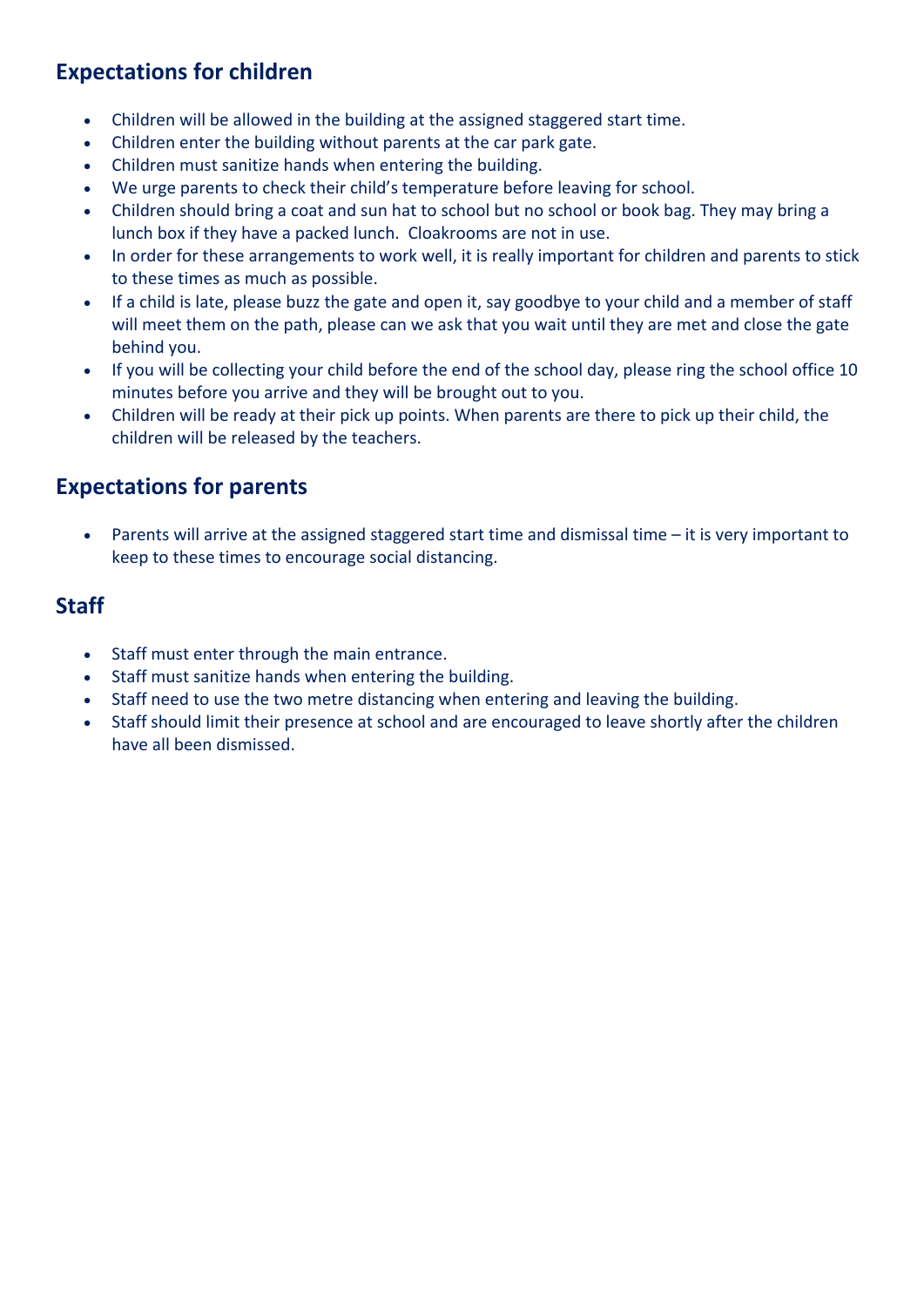# **Expectations for children**

- Children will be allowed in the building at the assigned staggered start time.
- Children enter the building without parents at the car park gate.
- Children must sanitize hands when entering the building.
- We urge parents to check their child's temperature before leaving for school.
- Children should bring a coat and sun hat to school but no school or book bag. They may bring a lunch box if they have a packed lunch. Cloakrooms are not in use.
- In order for these arrangements to work well, it is really important for children and parents to stick to these times as much as possible.
- If a child is late, please buzz the gate and open it, say goodbye to your child and a member of staff will meet them on the path, please can we ask that you wait until they are met and close the gate behind you.
- If you will be collecting your child before the end of the school day, please ring the school office 10 minutes before you arrive and they will be brought out to you.
- Children will be ready at their pick up points. When parents are there to pick up their child, the children will be released by the teachers.

# **Expectations for parents**

Parents will arrive at the assigned staggered start time and dismissal time – it is very important to keep to these times to encourage social distancing.

#### **Staff**

- Staff must enter through the main entrance.
- Staff must sanitize hands when entering the building.
- Staff need to use the two metre distancing when entering and leaving the building.
- Staff should limit their presence at school and are encouraged to leave shortly after the children have all been dismissed.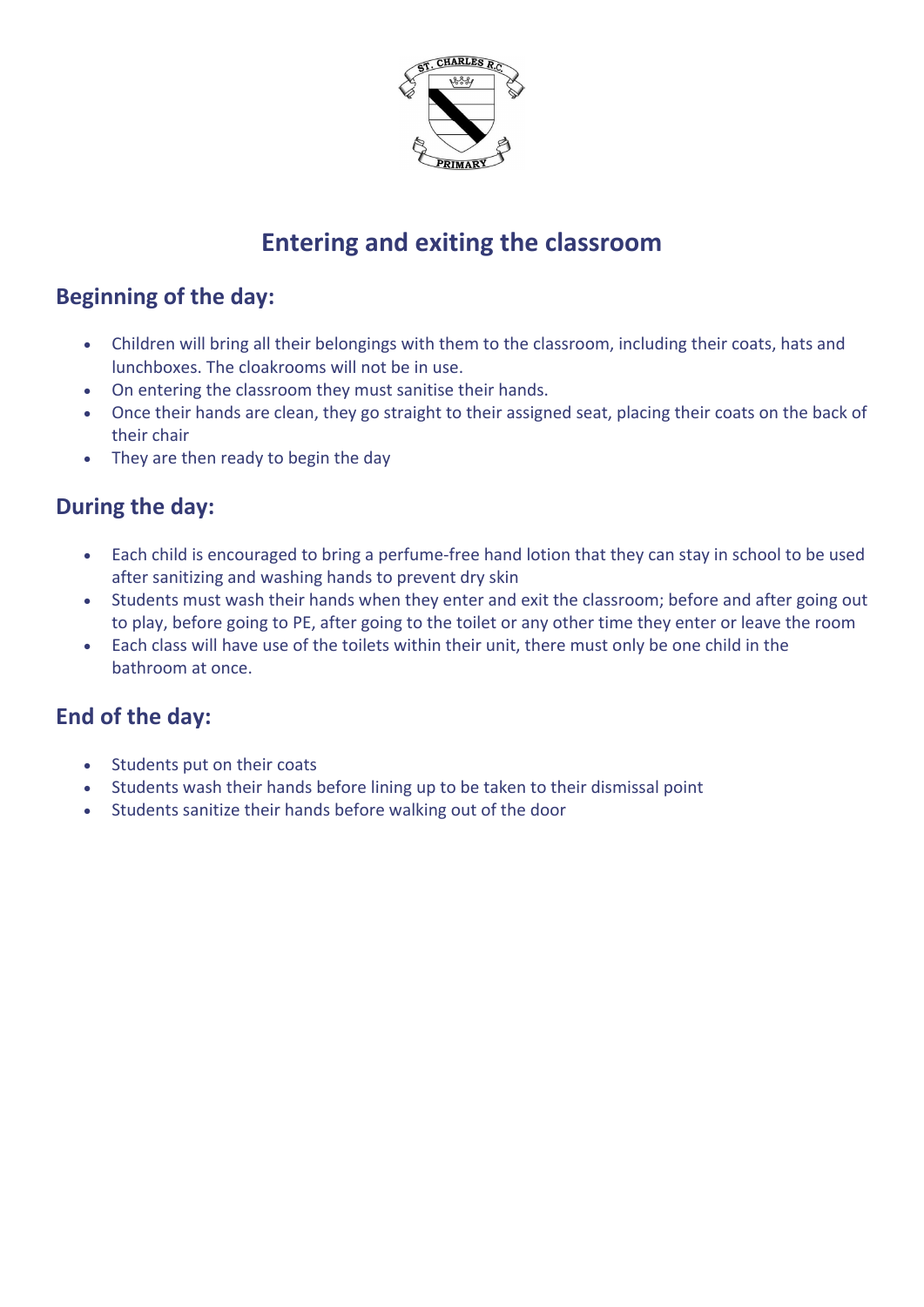

# **Entering and exiting the classroom**

# **Beginning of the day:**

- Children will bring all their belongings with them to the classroom, including their coats, hats and lunchboxes. The cloakrooms will not be in use.
- On entering the classroom they must sanitise their hands.
- Once their hands are clean, they go straight to their assigned seat, placing their coats on the back of their chair
- They are then ready to begin the day

## **During the day:**

- Each child is encouraged to bring a perfume-free hand lotion that they can stay in school to be used after sanitizing and washing hands to prevent dry skin
- Students must wash their hands when they enter and exit the classroom; before and after going out to play, before going to PE, after going to the toilet or any other time they enter or leave the room
- Each class will have use of the toilets within their unit, there must only be one child in the bathroom at once.

## **End of the day:**

- Students put on their coats
- Students wash their hands before lining up to be taken to their dismissal point
- Students sanitize their hands before walking out of the door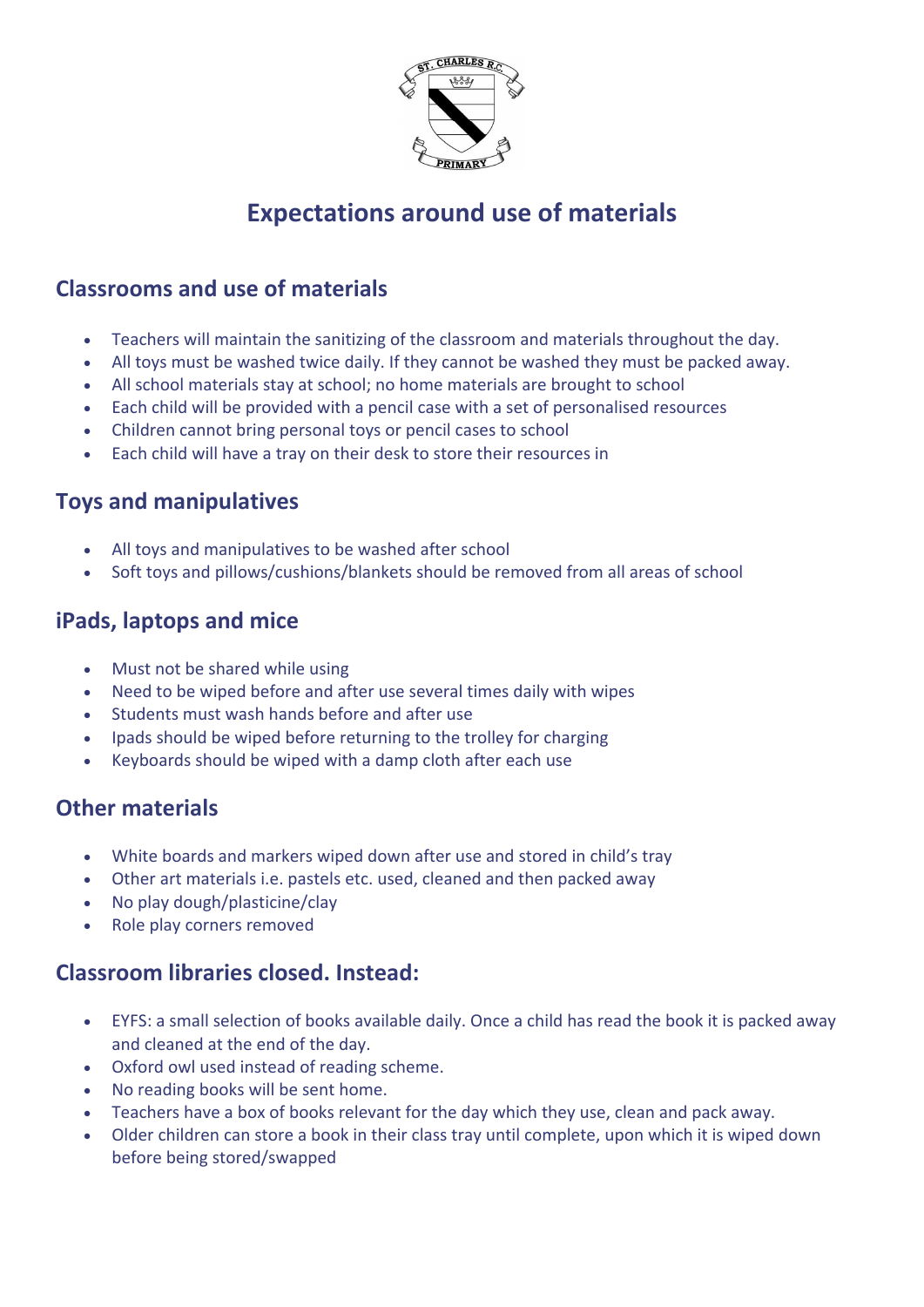

# **Expectations around use of materials**

#### **Classrooms and use of materials**

- Teachers will maintain the sanitizing of the classroom and materials throughout the day.
- All toys must be washed twice daily. If they cannot be washed they must be packed away.
- All school materials stay at school; no home materials are brought to school
- Each child will be provided with a pencil case with a set of personalised resources
- Children cannot bring personal toys or pencil cases to school
- Each child will have a tray on their desk to store their resources in

#### **Toys and manipulatives**

- All toys and manipulatives to be washed after school
- Soft toys and pillows/cushions/blankets should be removed from all areas of school

## **iPads, laptops and mice**

- Must not be shared while using
- Need to be wiped before and after use several times daily with wipes
- Students must wash hands before and after use
- Ipads should be wiped before returning to the trolley for charging
- Keyboards should be wiped with a damp cloth after each use

## **Other materials**

- White boards and markers wiped down after use and stored in child's tray
- Other art materials i.e. pastels etc. used, cleaned and then packed away
- No play dough/plasticine/clay
- Role play corners removed

#### **Classroom libraries closed. Instead:**

- EYFS: a small selection of books available daily. Once a child has read the book it is packed away and cleaned at the end of the day.
- Oxford owl used instead of reading scheme.
- No reading books will be sent home.
- Teachers have a box of books relevant for the day which they use, clean and pack away.
- Older children can store a book in their class tray until complete, upon which it is wiped down before being stored/swapped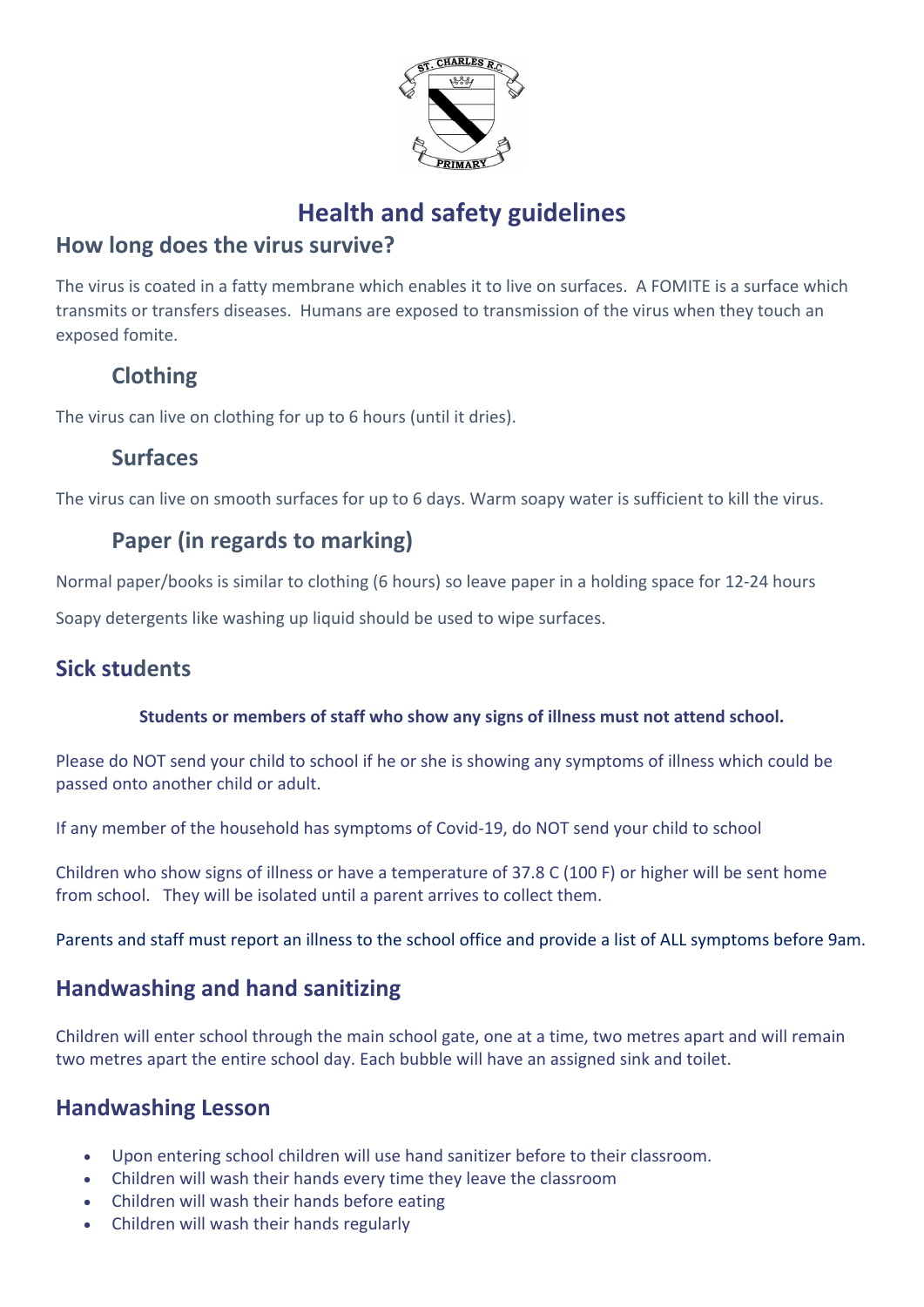

# **Health and safety guidelines**

# **How long does the virus survive?**

The virus is coated in a fatty membrane which enables it to live on surfaces. A FOMITE is a surface which transmits or transfers diseases. Humans are exposed to transmission of the virus when they touch an exposed fomite.

# **Clothing**

The virus can live on clothing for up to 6 hours (until it dries).

# **Surfaces**

The virus can live on smooth surfaces for up to 6 days. Warm soapy water is sufficient to kill the virus.

# **Paper (in regards to marking)**

Normal paper/books is similar to clothing (6 hours) so leave paper in a holding space for 12-24 hours

Soapy detergents like washing up liquid should be used to wipe surfaces.

# **Sick students**

#### **Students or members of staff who show any signs of illness must not attend school.**

Please do NOT send your child to school if he or she is showing any symptoms of illness which could be passed onto another child or adult.

If any member of the household has symptoms of Covid-19, do NOT send your child to school

Children who show signs of illness or have a temperature of 37.8 C (100 F) or higher will be sent home from school. They will be isolated until a parent arrives to collect them.

Parents and staff must report an illness to the school office and provide a list of ALL symptoms before 9am.

# **Handwashing and hand sanitizing**

Children will enter school through the main school gate, one at a time, two metres apart and will remain two metres apart the entire school day. Each bubble will have an assigned sink and toilet.

# **Handwashing Lesson**

- Upon entering school children will use hand sanitizer before to their classroom.
- Children will wash their hands every time they leave the classroom
- Children will wash their hands before eating
- Children will wash their hands regularly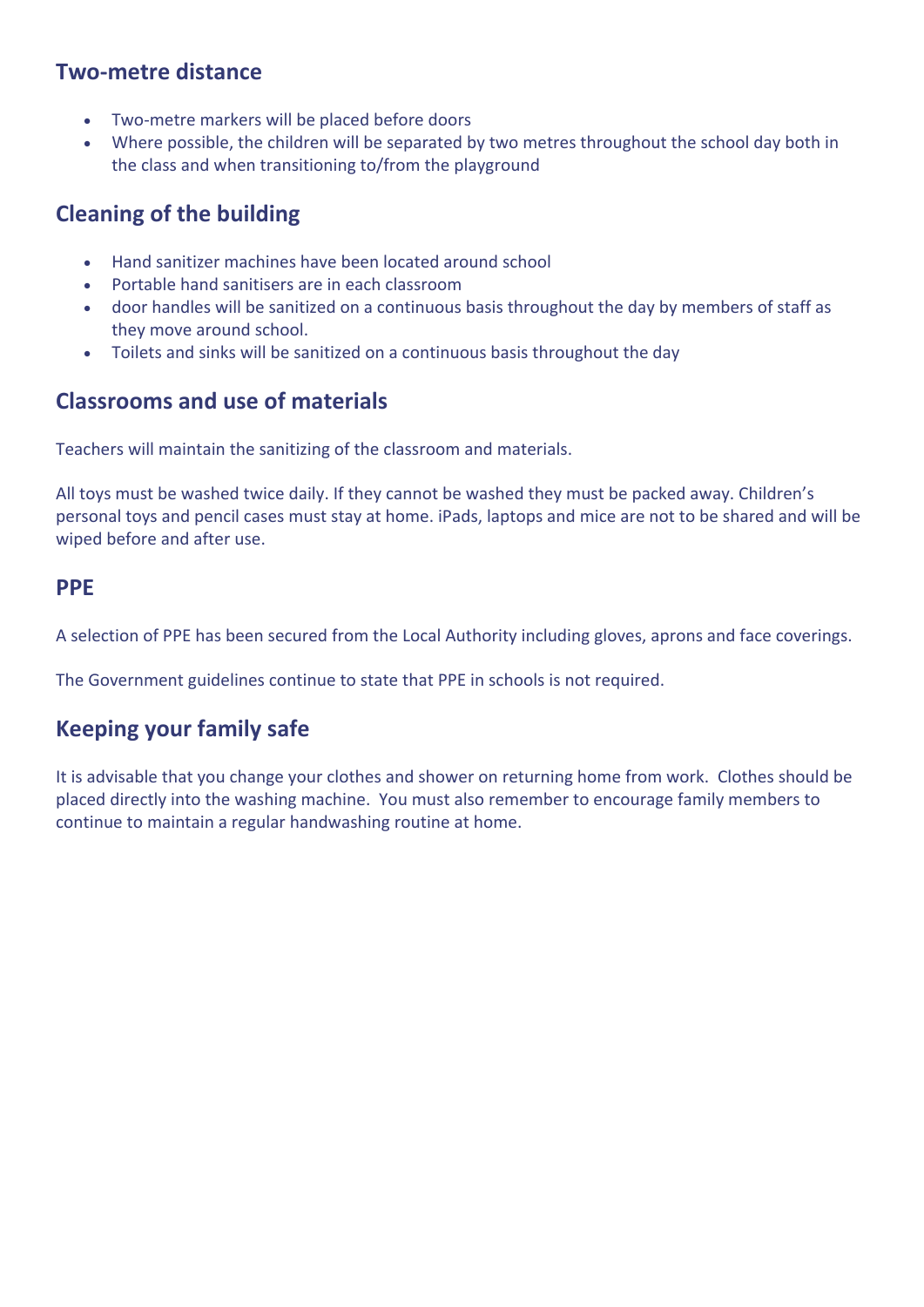#### **Two-metre distance**

- Two-metre markers will be placed before doors
- Where possible, the children will be separated by two metres throughout the school day both in the class and when transitioning to/from the playground

# **Cleaning of the building**

- Hand sanitizer machines have been located around school
- Portable hand sanitisers are in each classroom
- door handles will be sanitized on a continuous basis throughout the day by members of staff as they move around school.
- Toilets and sinks will be sanitized on a continuous basis throughout the day

## **Classrooms and use of materials**

Teachers will maintain the sanitizing of the classroom and materials.

All toys must be washed twice daily. If they cannot be washed they must be packed away. Children's personal toys and pencil cases must stay at home. iPads, laptops and mice are not to be shared and will be wiped before and after use.

#### **PPE**

A selection of PPE has been secured from the Local Authority including gloves, aprons and face coverings.

The Government guidelines continue to state that PPE in schools is not required.

## **Keeping your family safe**

It is advisable that you change your clothes and shower on returning home from work. Clothes should be placed directly into the washing machine. You must also remember to encourage family members to continue to maintain a regular handwashing routine at home.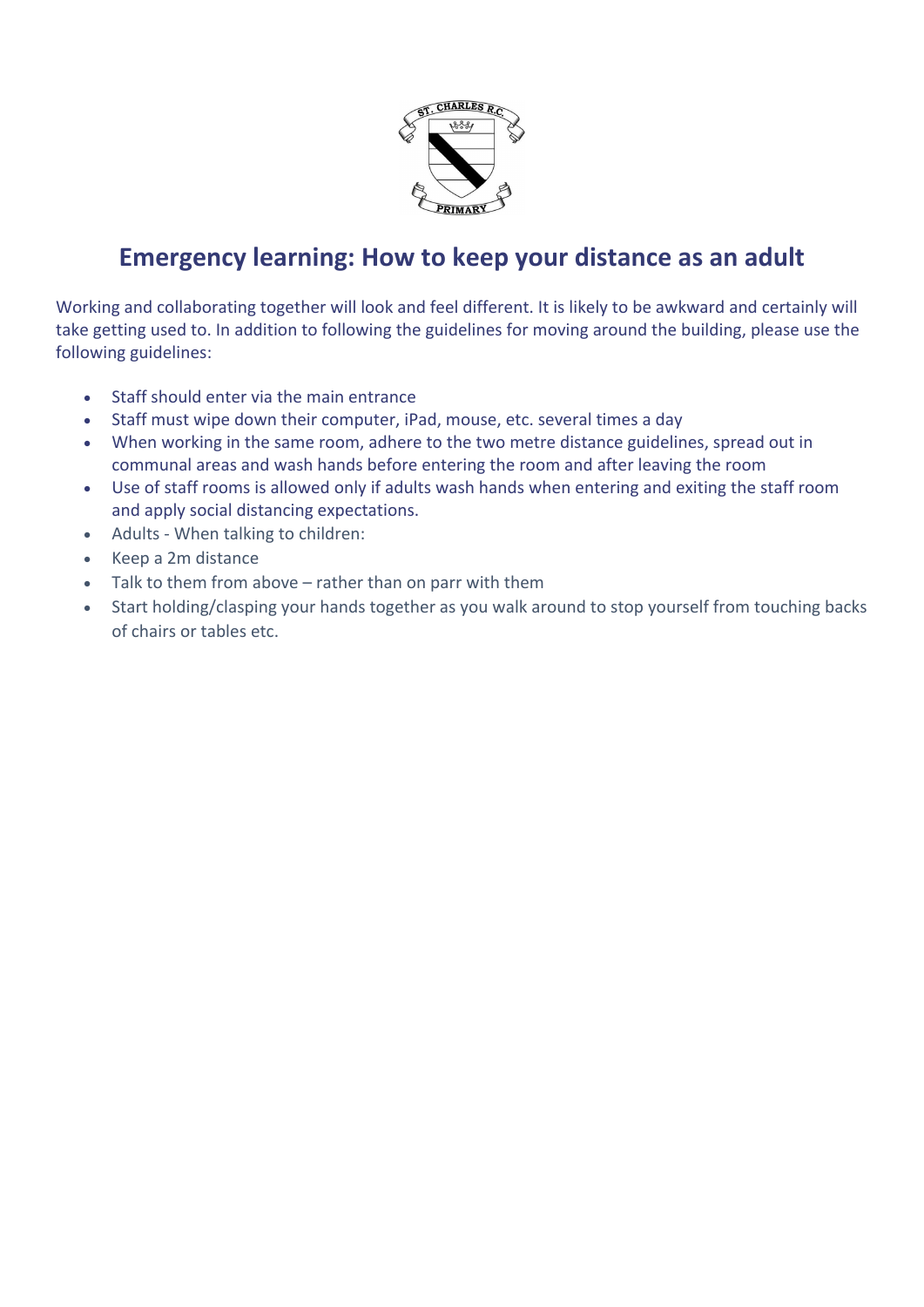

# **Emergency learning: How to keep your distance as an adult**

Working and collaborating together will look and feel different. It is likely to be awkward and certainly will take getting used to. In addition to following the guidelines for moving around the building, please use the following guidelines:

- Staff should enter via the main entrance
- Staff must wipe down their computer, iPad, mouse, etc. several times a day
- When working in the same room, adhere to the two metre distance guidelines, spread out in communal areas and wash hands before entering the room and after leaving the room
- Use of staff rooms is allowed only if adults wash hands when entering and exiting the staff room and apply social distancing expectations.
- Adults When talking to children:
- Keep a 2m distance
- Talk to them from above rather than on parr with them
- Start holding/clasping your hands together as you walk around to stop yourself from touching backs of chairs or tables etc.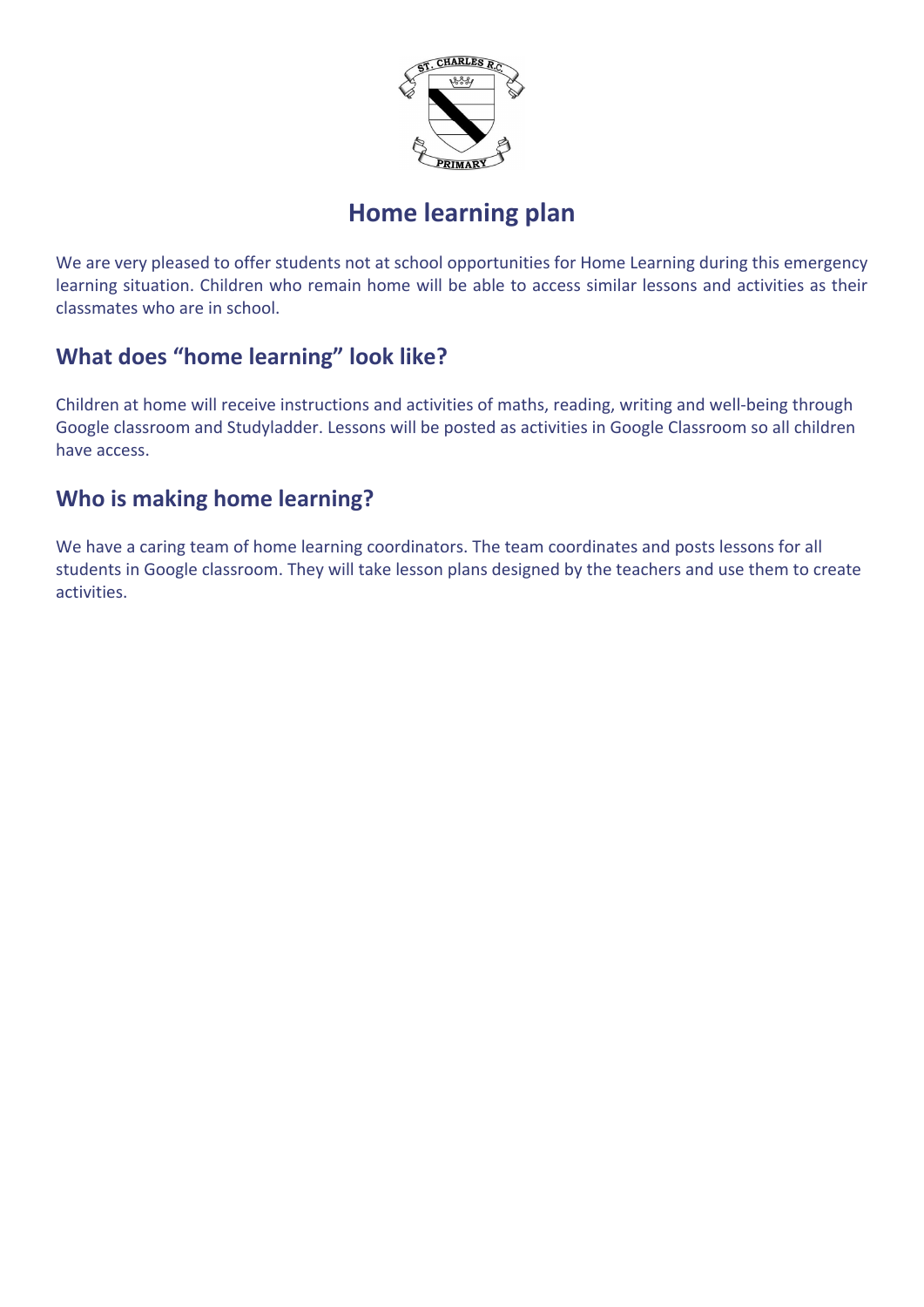

# **Home learning plan**

We are very pleased to offer students not at school opportunities for Home Learning during this emergency learning situation. Children who remain home will be able to access similar lessons and activities as their classmates who are in school.

# **What does "home learning" look like?**

Children at home will receive instructions and activities of maths, reading, writing and well-being through Google classroom and Studyladder. Lessons will be posted as activities in Google Classroom so all children have access.

# **Who is making home learning?**

We have a caring team of home learning coordinators. The team coordinates and posts lessons for all students in Google classroom. They will take lesson plans designed by the teachers and use them to create activities.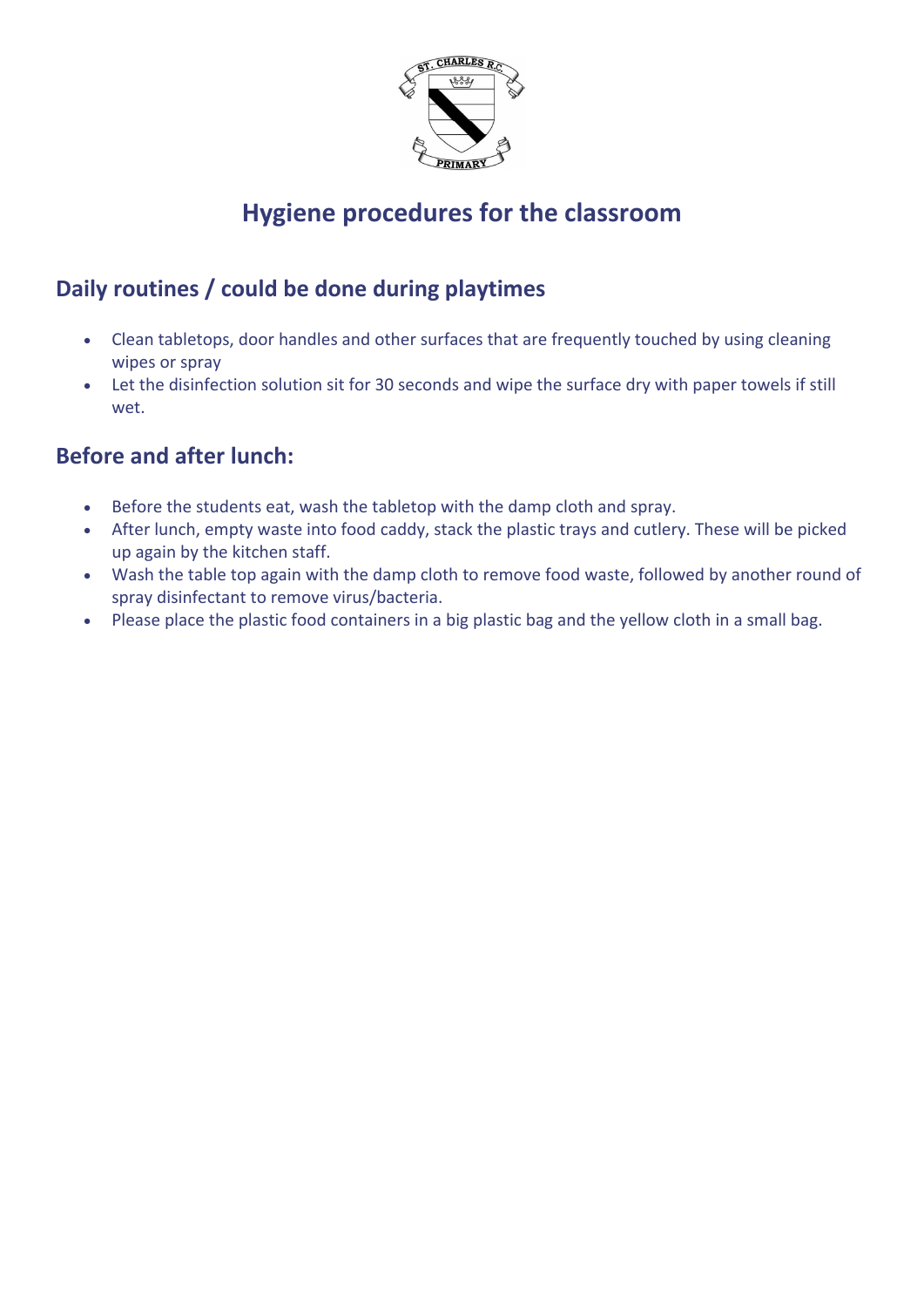

# **Hygiene procedures for the classroom**

# **Daily routines / could be done during playtimes**

- Clean tabletops, door handles and other surfaces that are frequently touched by using cleaning wipes or spray
- Let the disinfection solution sit for 30 seconds and wipe the surface dry with paper towels if still wet.

# **Before and after lunch:**

- Before the students eat, wash the tabletop with the damp cloth and spray.
- After lunch, empty waste into food caddy, stack the plastic trays and cutlery. These will be picked up again by the kitchen staff.
- Wash the table top again with the damp cloth to remove food waste, followed by another round of spray disinfectant to remove virus/bacteria.
- Please place the plastic food containers in a big plastic bag and the yellow cloth in a small bag.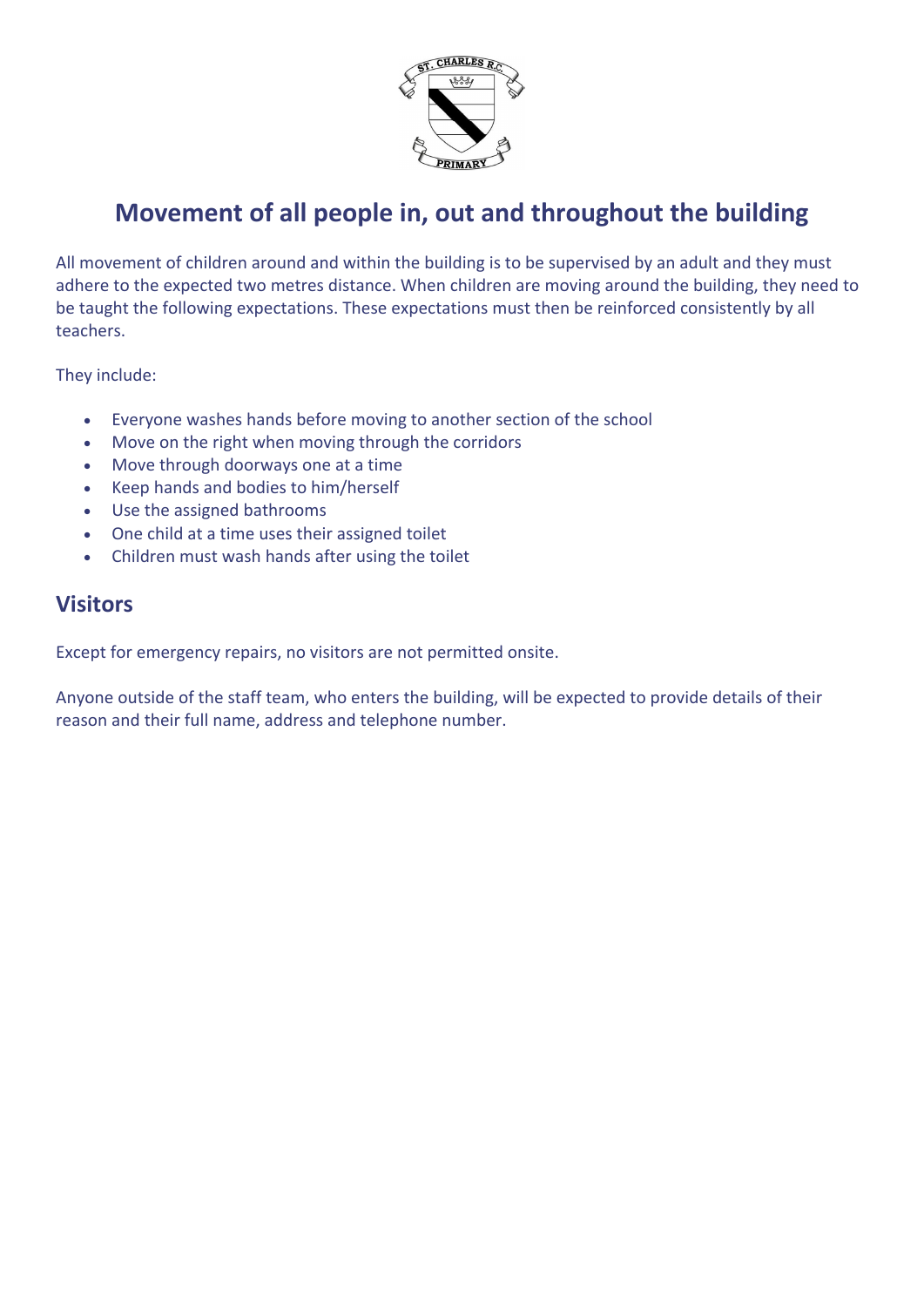

# **Movement of all people in, out and throughout the building**

All movement of children around and within the building is to be supervised by an adult and they must adhere to the expected two metres distance. When children are moving around the building, they need to be taught the following expectations. These expectations must then be reinforced consistently by all teachers.

They include:

- Everyone washes hands before moving to another section of the school
- Move on the right when moving through the corridors
- Move through doorways one at a time
- Keep hands and bodies to him/herself
- Use the assigned bathrooms
- One child at a time uses their assigned toilet
- Children must wash hands after using the toilet

#### **Visitors**

Except for emergency repairs, no visitors are not permitted onsite.

Anyone outside of the staff team, who enters the building, will be expected to provide details of their reason and their full name, address and telephone number.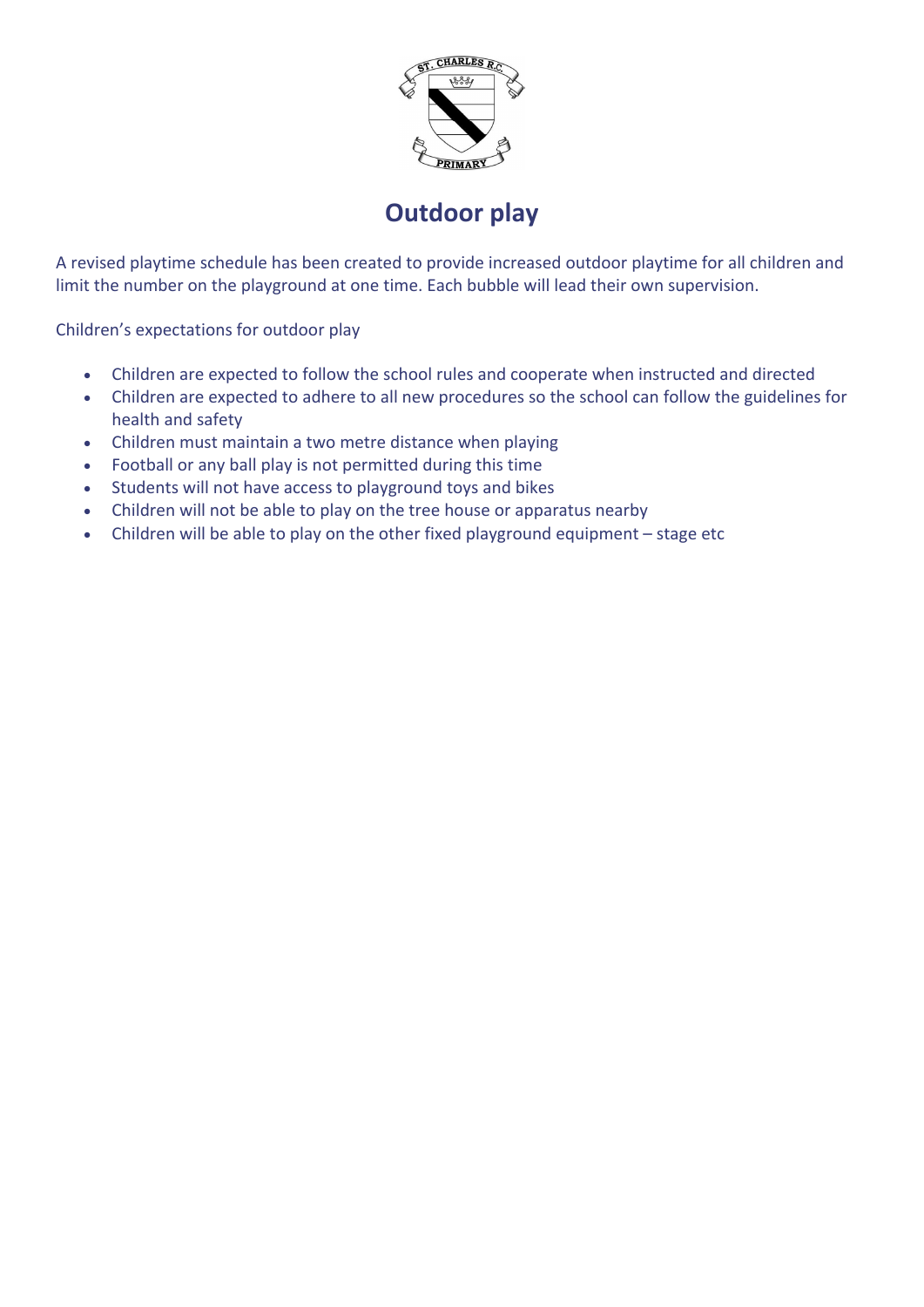

# **Outdoor play**

A revised playtime schedule has been created to provide increased outdoor playtime for all children and limit the number on the playground at one time. Each bubble will lead their own supervision.

Children's expectations for outdoor play

- Children are expected to follow the school rules and cooperate when instructed and directed
- Children are expected to adhere to all new procedures so the school can follow the guidelines for health and safety
- Children must maintain a two metre distance when playing
- Football or any ball play is not permitted during this time
- Students will not have access to playground toys and bikes
- Children will not be able to play on the tree house or apparatus nearby
- Children will be able to play on the other fixed playground equipment stage etc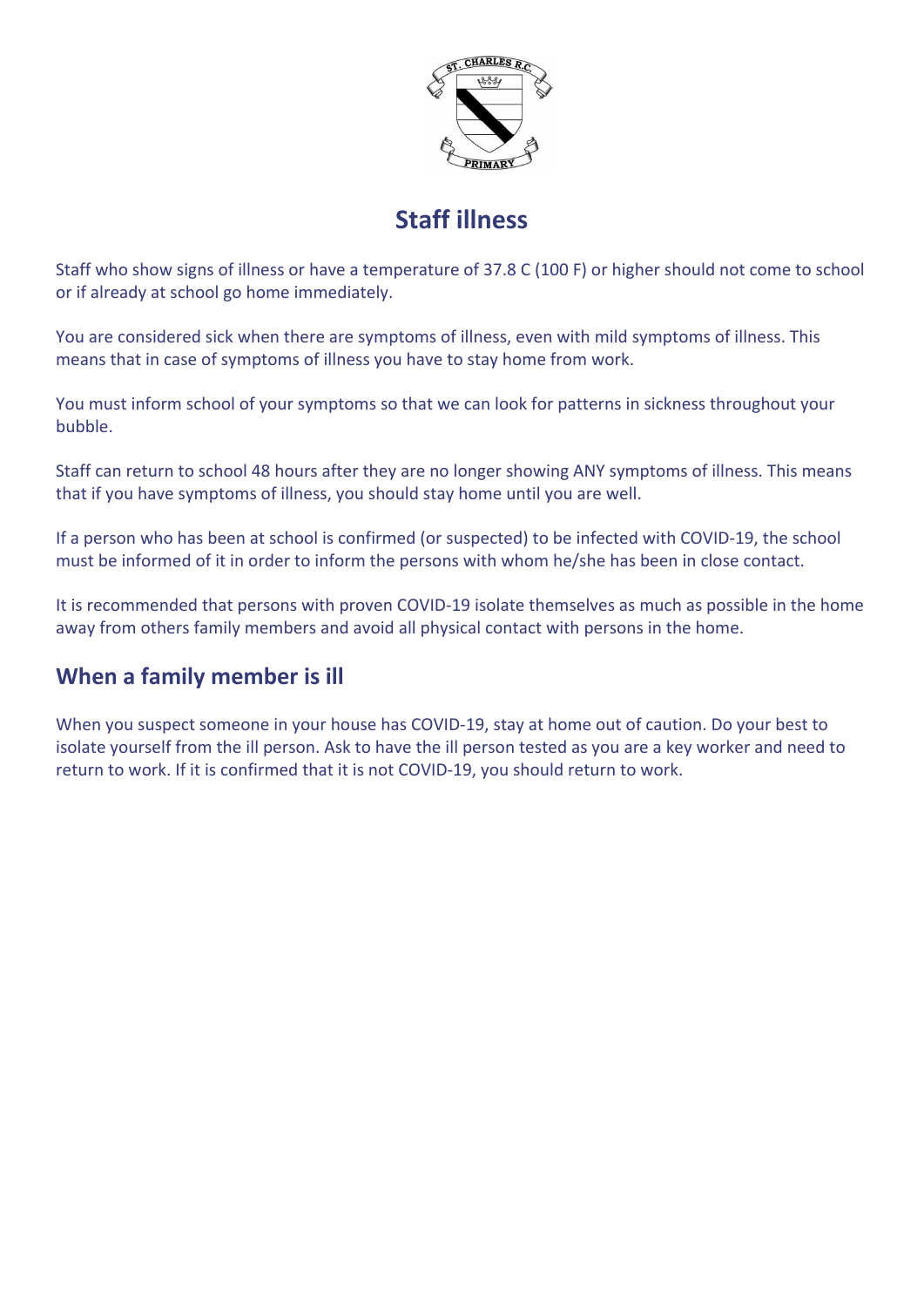

# **Staff illness**

Staff who show signs of illness or have a temperature of 37.8 C (100 F) or higher should not come to school or if already at school go home immediately.

You are considered sick when there are symptoms of illness, even with mild symptoms of illness. This means that in case of symptoms of illness you have to stay home from work.

You must inform school of your symptoms so that we can look for patterns in sickness throughout your bubble.

Staff can return to school 48 hours after they are no longer showing ANY symptoms of illness. This means that if you have symptoms of illness, you should stay home until you are well.

If a person who has been at school is confirmed (or suspected) to be infected with COVID-19, the school must be informed of it in order to inform the persons with whom he/she has been in close contact.

It is recommended that persons with proven COVID-19 isolate themselves as much as possible in the home away from others family members and avoid all physical contact with persons in the home.

## **When a family member is ill**

When you suspect someone in your house has COVID-19, stay at home out of caution. Do your best to isolate yourself from the ill person. Ask to have the ill person tested as you are a key worker and need to return to work. If it is confirmed that it is not COVID-19, you should return to work.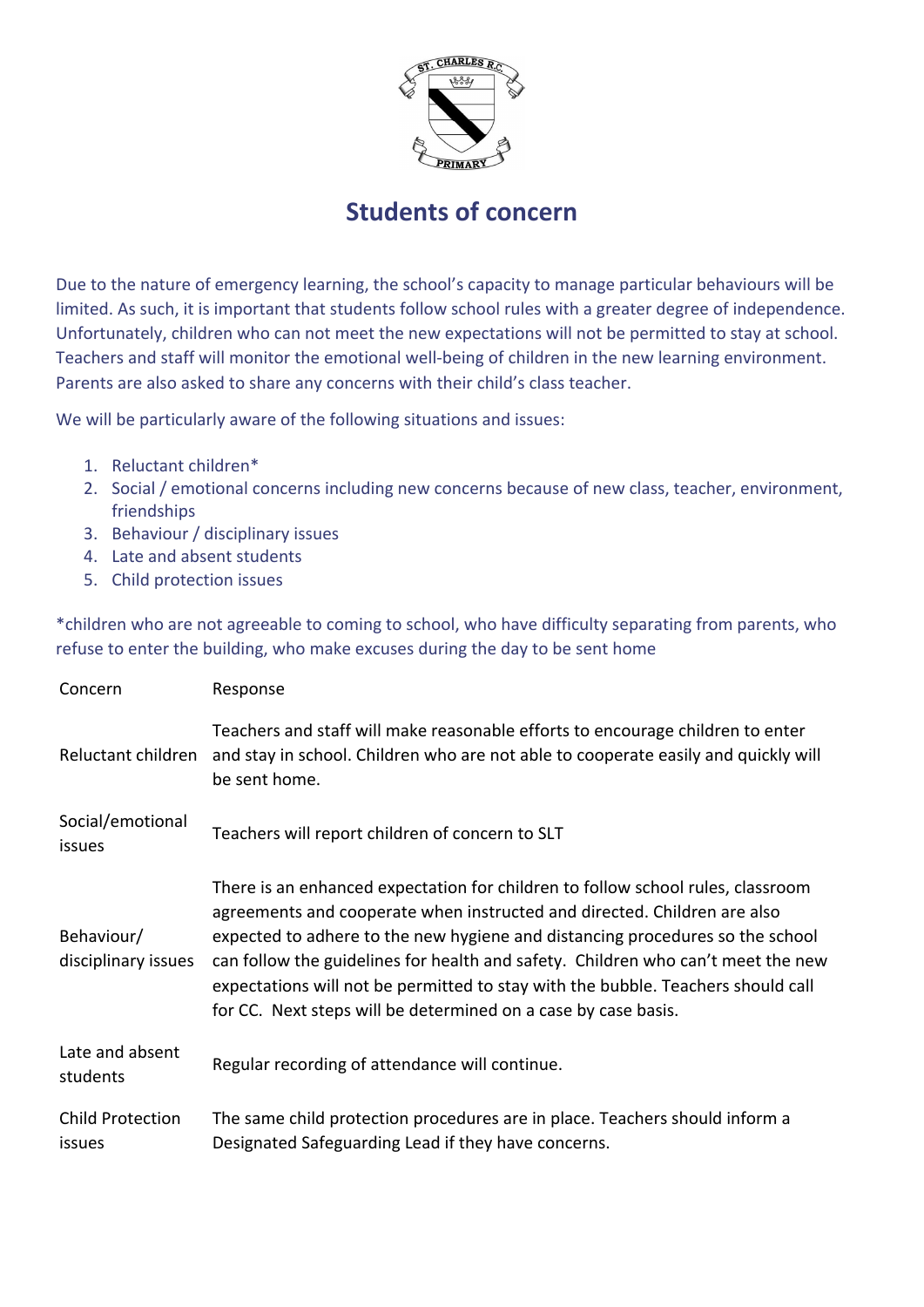

# **Students of concern**

Due to the nature of emergency learning, the school's capacity to manage particular behaviours will be limited. As such, it is important that students follow school rules with a greater degree of independence. Unfortunately, children who can not meet the new expectations will not be permitted to stay at school. Teachers and staff will monitor the emotional well-being of children in the new learning environment. Parents are also asked to share any concerns with their child's class teacher.

We will be particularly aware of the following situations and issues:

- 1. Reluctant children\*
- 2. Social / emotional concerns including new concerns because of new class, teacher, environment, friendships
- 3. Behaviour / disciplinary issues
- 4. Late and absent students
- 5. Child protection issues

\*children who are not agreeable to coming to school, who have difficulty separating from parents, who refuse to enter the building, who make excuses during the day to be sent home

| Concern                           | Response                                                                                                                                                                                                                                                                                                                                                                                                                                                                               |  |
|-----------------------------------|----------------------------------------------------------------------------------------------------------------------------------------------------------------------------------------------------------------------------------------------------------------------------------------------------------------------------------------------------------------------------------------------------------------------------------------------------------------------------------------|--|
| Reluctant children                | Teachers and staff will make reasonable efforts to encourage children to enter<br>and stay in school. Children who are not able to cooperate easily and quickly will<br>be sent home.                                                                                                                                                                                                                                                                                                  |  |
| Social/emotional<br>issues        | Teachers will report children of concern to SLT                                                                                                                                                                                                                                                                                                                                                                                                                                        |  |
| Behaviour/<br>disciplinary issues | There is an enhanced expectation for children to follow school rules, classroom<br>agreements and cooperate when instructed and directed. Children are also<br>expected to adhere to the new hygiene and distancing procedures so the school<br>can follow the guidelines for health and safety. Children who can't meet the new<br>expectations will not be permitted to stay with the bubble. Teachers should call<br>for CC. Next steps will be determined on a case by case basis. |  |
| Late and absent<br>students       | Regular recording of attendance will continue.                                                                                                                                                                                                                                                                                                                                                                                                                                         |  |
| <b>Child Protection</b><br>issues | The same child protection procedures are in place. Teachers should inform a<br>Designated Safeguarding Lead if they have concerns.                                                                                                                                                                                                                                                                                                                                                     |  |